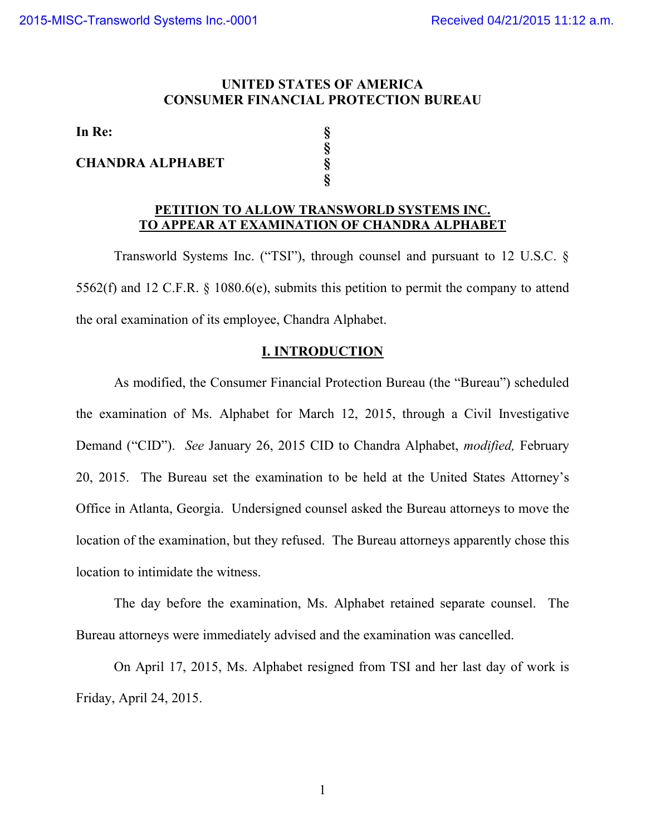## **UNITED STATES OF AMERICA CONSUMER FINANCIAL PROTECTION BUREAU**

**§**

**§**

**In Re: §**

## **CHANDRA ALPHABET §**

## **PETITION TO ALLOW TRANSWORLD SYSTEMS INC. TO APPEAR AT EXAMINATION OF CHANDRA ALPHABET**

Transworld Systems Inc. ("TSI"), through counsel and pursuant to 12 U.S.C. § 5562(f) and 12 C.F.R. § 1080.6(e), submits this petition to permit the company to attend the oral examination of its employee, Chandra Alphabet.

# **I. INTRODUCTION**

As modified, the Consumer Financial Protection Bureau (the "Bureau") scheduled the examination of Ms. Alphabet for March 12, 2015, through a Civil Investigative Demand ("CID"). *See* January 26, 2015 CID to Chandra Alphabet, *modified,* February 20, 2015. The Bureau set the examination to be held at the United States Attorney's Office in Atlanta, Georgia. Undersigned counsel asked the Bureau attorneys to move the location of the examination, but they refused. The Bureau attorneys apparently chose this location to intimidate the witness.

The day before the examination, Ms. Alphabet retained separate counsel. The Bureau attorneys were immediately advised and the examination was cancelled.

On April 17, 2015, Ms. Alphabet resigned from TSI and her last day of work is Friday, April 24, 2015.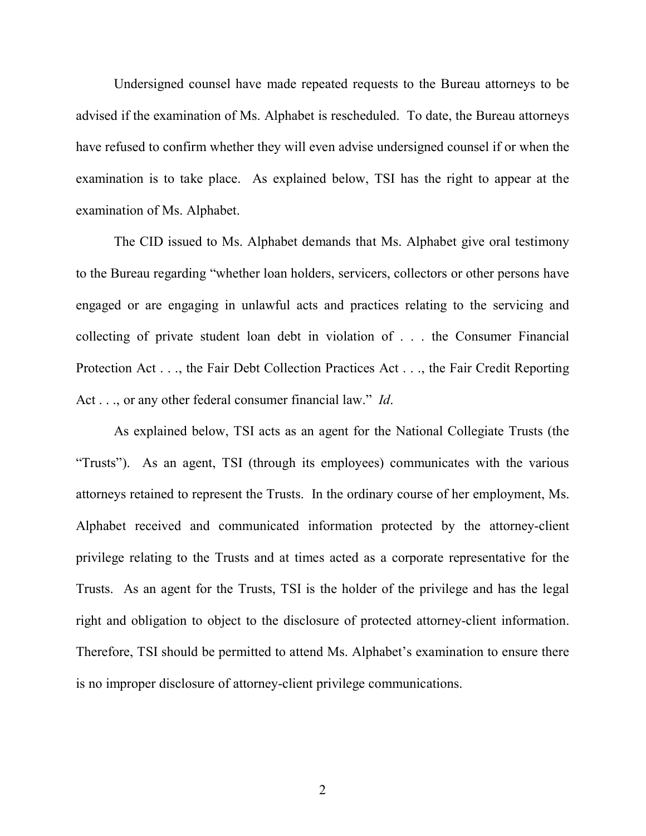Undersigned counsel have made repeated requests to the Bureau attorneys to be advised if the examination of Ms. Alphabet is rescheduled. To date, the Bureau attorneys have refused to confirm whether they will even advise undersigned counsel if or when the examination is to take place. As explained below, TSI has the right to appear at the examination of Ms. Alphabet.

The CID issued to Ms. Alphabet demands that Ms. Alphabet give oral testimony to the Bureau regarding "whether loan holders, servicers, collectors or other persons have engaged or are engaging in unlawful acts and practices relating to the servicing and collecting of private student loan debt in violation of . . . the Consumer Financial Protection Act . . ., the Fair Debt Collection Practices Act . . ., the Fair Credit Reporting Act . . ., or any other federal consumer financial law." *Id*.

As explained below, TSI acts as an agent for the National Collegiate Trusts (the "Trusts"). As an agent, TSI (through its employees) communicates with the various attorneys retained to represent the Trusts. In the ordinary course of her employment, Ms. Alphabet received and communicated information protected by the attorney-client privilege relating to the Trusts and at times acted as a corporate representative for the Trusts. As an agent for the Trusts, TSI is the holder of the privilege and has the legal right and obligation to object to the disclosure of protected attorney-client information. Therefore, TSI should be permitted to attend Ms. Alphabet's examination to ensure there is no improper disclosure of attorney-client privilege communications.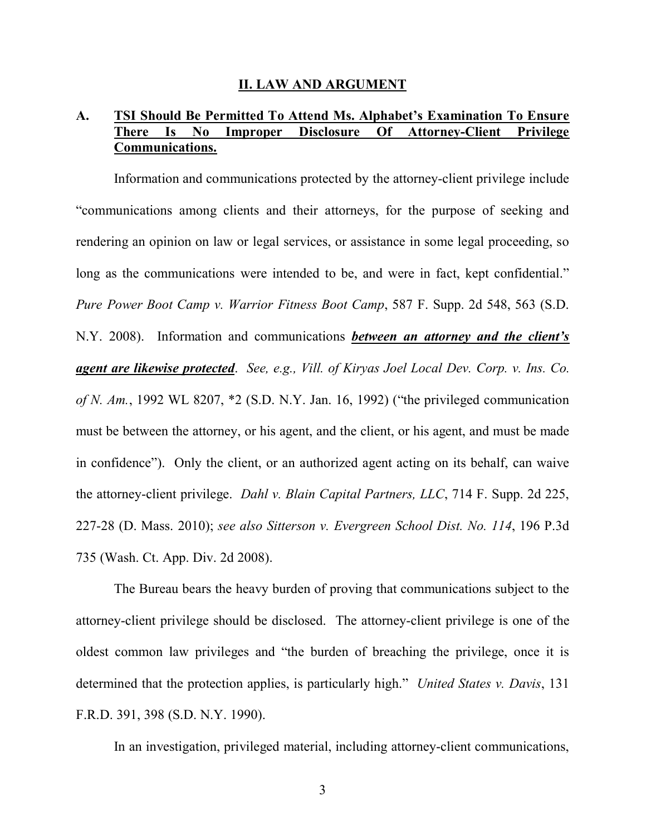#### **II. LAW AND ARGUMENT**

# **A. TSI Should Be Permitted To Attend Ms. Alphabet's Examination To Ensure There Is No Improper Disclosure Of Attorney-Client Privilege Communications.**

Information and communications protected by the attorney-client privilege include "communications among clients and their attorneys, for the purpose of seeking and rendering an opinion on law or legal services, or assistance in some legal proceeding, so long as the communications were intended to be, and were in fact, kept confidential." *Pure Power Boot Camp v. Warrior Fitness Boot Camp*, 587 F. Supp. 2d 548, 563 (S.D. N.Y. 2008). Information and communications *between an attorney and the client's agent are likewise protected*. *See, e.g., Vill. of Kiryas Joel Local Dev. Corp. v. Ins. Co. of N. Am.*, 1992 WL 8207, \*2 (S.D. N.Y. Jan. 16, 1992) ("the privileged communication must be between the attorney, or his agent, and the client, or his agent, and must be made in confidence"). Only the client, or an authorized agent acting on its behalf, can waive the attorney-client privilege. *Dahl v. Blain Capital Partners, LLC*, 714 F. Supp. 2d 225, 227-28 (D. Mass. 2010); *see also Sitterson v. Evergreen School Dist. No. 114*, 196 P.3d 735 (Wash. Ct. App. Div. 2d 2008).

The Bureau bears the heavy burden of proving that communications subject to the attorney-client privilege should be disclosed. The attorney-client privilege is one of the oldest common law privileges and "the burden of breaching the privilege, once it is determined that the protection applies, is particularly high." *United States v. Davis*, 131 F.R.D. 391, 398 (S.D. N.Y. 1990).

In an investigation, privileged material, including attorney-client communications,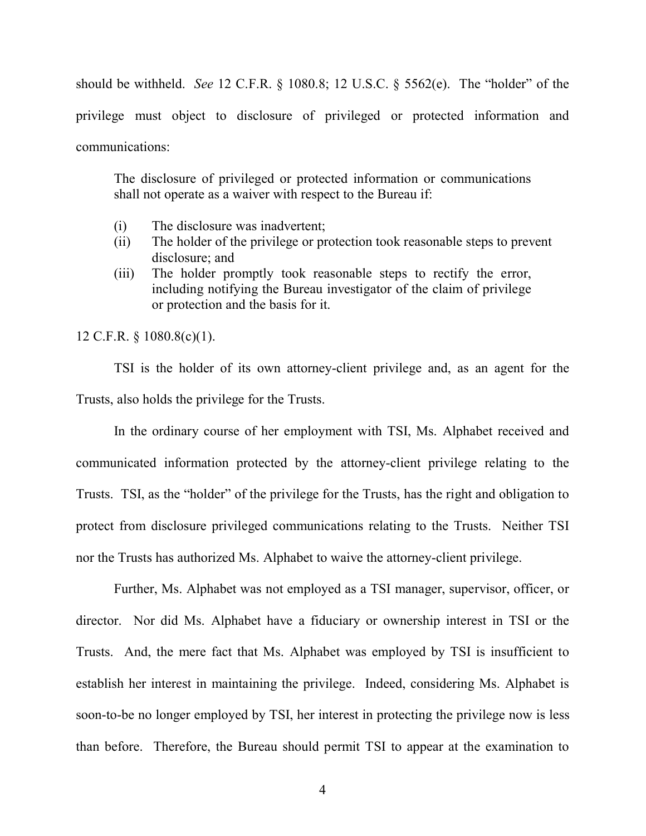should be withheld. *See* 12 C.F.R. § 1080.8; 12 U.S.C. § 5562(e). The "holder" of the privilege must object to disclosure of privileged or protected information and communications:

The disclosure of privileged or protected information or communications shall not operate as a waiver with respect to the Bureau if:

- (i) The disclosure was inadvertent;
- (ii) The holder of the privilege or protection took reasonable steps to prevent disclosure; and
- (iii) The holder promptly took reasonable steps to rectify the error, including notifying the Bureau investigator of the claim of privilege or protection and the basis for it.

12 C.F.R. § 1080.8(c)(1).

TSI is the holder of its own attorney-client privilege and, as an agent for the Trusts, also holds the privilege for the Trusts.

In the ordinary course of her employment with TSI, Ms. Alphabet received and communicated information protected by the attorney-client privilege relating to the Trusts. TSI, as the "holder" of the privilege for the Trusts, has the right and obligation to protect from disclosure privileged communications relating to the Trusts. Neither TSI nor the Trusts has authorized Ms. Alphabet to waive the attorney-client privilege.

Further, Ms. Alphabet was not employed as a TSI manager, supervisor, officer, or director. Nor did Ms. Alphabet have a fiduciary or ownership interest in TSI or the Trusts. And, the mere fact that Ms. Alphabet was employed by TSI is insufficient to establish her interest in maintaining the privilege. Indeed, considering Ms. Alphabet is soon-to-be no longer employed by TSI, her interest in protecting the privilege now is less than before. Therefore, the Bureau should permit TSI to appear at the examination to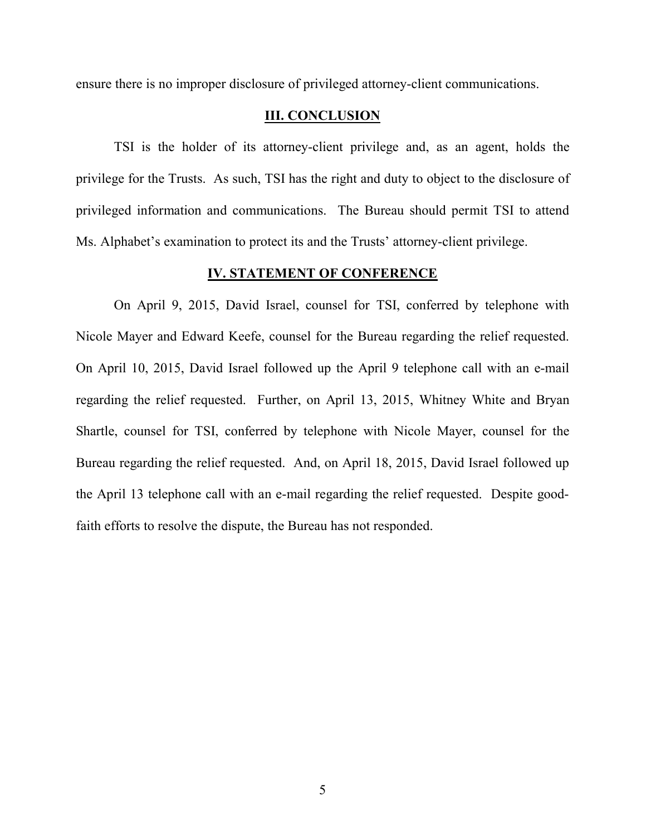ensure there is no improper disclosure of privileged attorney-client communications.

### **III. CONCLUSION**

TSI is the holder of its attorney-client privilege and, as an agent, holds the privilege for the Trusts. As such, TSI has the right and duty to object to the disclosure of privileged information and communications. The Bureau should permit TSI to attend Ms. Alphabet's examination to protect its and the Trusts' attorney-client privilege.

### **IV. STATEMENT OF CONFERENCE**

On April 9, 2015, David Israel, counsel for TSI, conferred by telephone with Nicole Mayer and Edward Keefe, counsel for the Bureau regarding the relief requested. On April 10, 2015, David Israel followed up the April 9 telephone call with an e-mail regarding the relief requested. Further, on April 13, 2015, Whitney White and Bryan Shartle, counsel for TSI, conferred by telephone with Nicole Mayer, counsel for the Bureau regarding the relief requested. And, on April 18, 2015, David Israel followed up the April 13 telephone call with an e-mail regarding the relief requested. Despite goodfaith efforts to resolve the dispute, the Bureau has not responded.